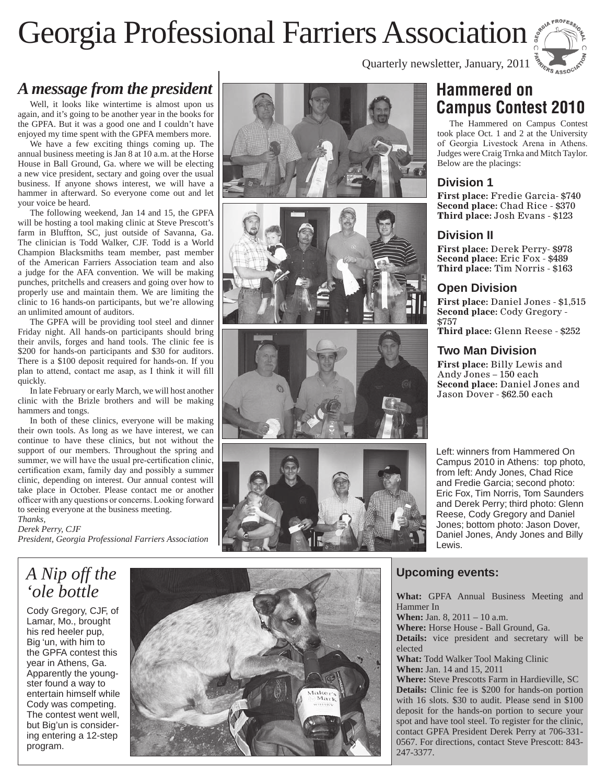## Georgia Professional Farriers Association



## *A message from the president*

Well, it looks like wintertime is almost upon us again, and it's going to be another year in the books for the GPFA. But it was a good one and I couldn't have enjoyed my time spent with the GPFA members more.

We have a few exciting things coming up. The annual business meeting is Jan 8 at 10 a.m. at the Horse House in Ball Ground, Ga. where we will be electing a new vice president, sectary and going over the usual business. If anyone shows interest, we will have a hammer in afterward. So everyone come out and let your voice be heard.

The following weekend, Jan 14 and 15, the GPFA will be hosting a tool making clinic at Steve Prescott's farm in Bluffton, SC, just outside of Savanna, Ga. The clinician is Todd Walker, CJF. Todd is a World Champion Blacksmiths team member, past member of the American Farriers Association team and also a judge for the AFA convention. We will be making punches, pritchells and creasers and going over how to properly use and maintain them. We are limiting the clinic to 16 hands-on participants, but we're allowing an unlimited amount of auditors.

The GPFA will be providing tool steel and dinner Friday night. All hands-on participants should bring their anvils, forges and hand tools. The clinic fee is \$200 for hands-on participants and \$30 for auditors. There is a \$100 deposit required for hands-on. If you plan to attend, contact me asap, as I think it will fill quickly.

In late February or early March, we will host another clinic with the Brizle brothers and will be making hammers and tongs.

In both of these clinics, everyone will be making their own tools. As long as we have interest, we can continue to have these clinics, but not without the support of our members. Throughout the spring and summer, we will have the usual pre-certification clinic, certification exam, family day and possibly a summer clinic, depending on interest. Our annual contest will take place in October. Please contact me or another officer with any questions or concerns. Looking forward to seeing everyone at the business meeting.

*Thanks, Derek Perry, CJF President, Georgia Professional Farriers Association*









Quarterly newsletter, January, 2011

## **Hammered on Campus Contest 2010**

The Hammered on Campus Contest took place Oct. 1 and 2 at the University of Georgia Livestock Arena in Athens. Judges were Craig Trnka and Mitch Taylor. Below are the placings:

#### **Division 1**

**First place:** Fredie Garcia- \$740 **Second place:** Chad Rice - \$370 **Third place:** Josh Evans - \$123

## **Division II**

**First place:** Derek Perry- \$978 **Second place:** Eric Fox - \$489 **Third place:** Tim Norris - \$163

## **Open Division**

**First place:** Daniel Jones - \$1,515 **Second place:** Cody Gregory - \$757 **Third place:** Glenn Reese - \$252

## **Two Man Division**

**First place:** Billy Lewis and Andy Jones – 150 each **Second place:** Daniel Jones and Jason Dover - \$62.50 each

Left: winners from Hammered On Campus 2010 in Athens: top photo, from left: Andy Jones, Chad Rice and Fredie Garcia; second photo: Eric Fox, Tim Norris, Tom Saunders and Derek Perry; third photo: Glenn Reese, Cody Gregory and Daniel Jones; bottom photo: Jason Dover, Daniel Jones, Andy Jones and Billy Lewis.

## *A Nip off the 'ole bottle*

Cody Gregory, CJF, of Lamar, Mo., brought his red heeler pup, Big 'un, with him to the GPFA contest this year in Athens, Ga. Apparently the youngster found a way to entertain himself while Cody was competing. The contest went well, but Big'un is considering entering a 12-step program.



## **Upcoming events:**

When: Jan. 8, 2011 - 10 a.m.

Hammer In

**Details:** vice president and secretary will be elected **What:** Todd Walker Tool Making Clinic **When:** Jan. 14 and 15, 2011 **Where:** Steve Prescotts Farm in Hardieville, SC **Details:** Clinic fee is \$200 for hands-on portion with 16 slots. \$30 to audit. Please send in \$100 deposit for the hands-on portion to secure your spot and have tool steel. To register for the clinic, contact GPFA President Derek Perry at 706-331- 0567. For directions, contact Steve Prescott: 843- 247-3377.

**What:** GPFA Annual Business Meeting and

**Where:** Horse House - Ball Ground, Ga.